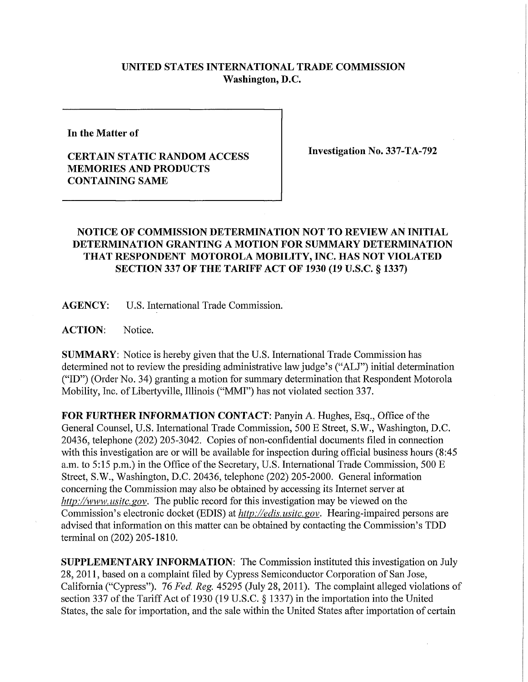## **UNITED STATES INTERNATIONAL TRADE COMMISSION Washington, D.C.**

**In the Matter of** 

## **CERTAIN STATIC RANDOM ACCESS MEMORIES AND PRODUCTS CONTAINING SAME**

**Investigation No. 337-TA-792** 

## **NOTICE OF COMMISSION DETERMINATION NOT TO REVIEW AN INITIAL DETERMINATION GRANTING A MOTION FOR SUMMARY DETERMINATION THAT RESPONDENT MOTOROLA MOBILITY, INC. HAS NOT VIOLATED SECTION 337 OF THE TARIFF ACT OF 1930 (19 U.S.C. § 1337)**

**AGENCY:** U.S. International Trade Commission.

**ACTION:** Notice.

**SUMMARY:** Notice is hereby given that the U.S. International Trade Commission has determined not to review the presiding administrative law judge's ("ALJ") initial determination ("ID") (Order No. 34) granting a motion for summary determination that Respondent Motorola Mobility, Inc. of Libertyville, Illinois ("MMI") has not violated section 337.

**FOR FURTHER INFORMATION CONTACT:** Panyin A. Hughes, Esq., Office of the General Counsel, U.S. International Trade Commission, 500 E Street, S.W., Washington, D.C. 20436, telephone (202) 205-3042. Copies of non-confidential documents filed in connection with this investigation are or will be available for inspection during official business hours (8:45) a.m. to 5:15 p.m.) in the Office of the Secretary, U.S. International Trade Commission, 500 E Street, S.W., Washington, D.C. 20436, telephone (202) 205-2000. General infonnation concerning the Commission may also be obtained by accessing its Internet server at *http://www, usitc. gov.* The public record for this investigation may be viewed on the Commission's electronic docket (EDIS) at *http://edis.usitc.gov.* Hearing-impaired persons are advised that information on this matter can be obtained by contacting the Commission's TDD terminal on (202) 205-1810.

**SUPPLEMENTARY INFORMATION:** The Commission instituted this investigation on July 28, 2011, based on a complaint filed by Cypress Semiconductor Corporation of San Jose, California ("Cypress"). 76 *Fed. Reg.* 45295 (July 28, 2011). The complaint alleged violations of section 337 of the Tariff Act of 1930 (19 U.S.C. § 1337) in the importation into the United States, the sale for importation, and the sale within the United States after importation of certain